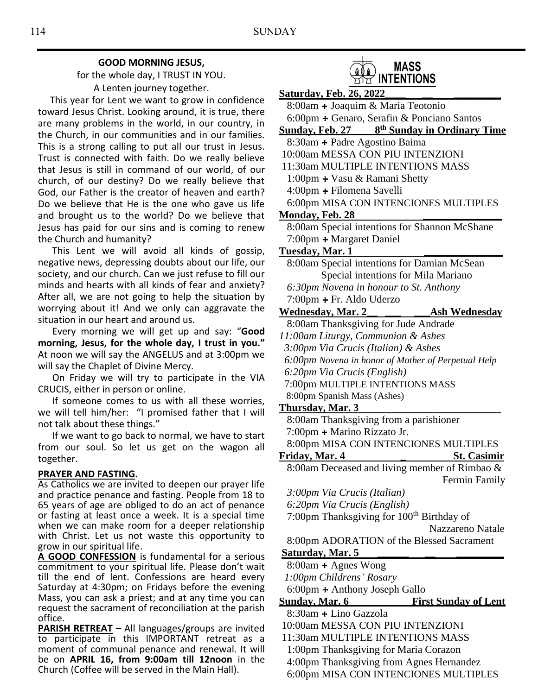### **GOOD MORNING JESUS,**

for the whole day, I TRUST IN YOU. A Lenten journey together.

 This year for Lent we want to grow in confidence toward Jesus Christ. Looking around, it is true, there are many problems in the world, in our country, in the Church, in our communities and in our families. This is a strong calling to put all our trust in Jesus. Trust is connected with faith. Do we really believe that Jesus is still in command of our world, of our church, of our destiny? Do we really believe that God, our Father is the creator of heaven and earth? Do we believe that He is the one who gave us life and brought us to the world? Do we believe that Jesus has paid for our sins and is coming to renew the Church and humanity?

 This Lent we will avoid all kinds of gossip, negative news, depressing doubts about our life, our society, and our church. Can we just refuse to fill our minds and hearts with all kinds of fear and anxiety? After all, we are not going to help the situation by worrying about it! And we only can aggravate the situation in our heart and around us.

 Every morning we will get up and say: "**Good morning, Jesus, for the whole day, I trust in you."**  At noon we will say the ANGELUS and at 3:00pm we will say the Chaplet of Divine Mercy.

 On Friday we will try to participate in the VIA CRUCIS, either in person or online.

 If someone comes to us with all these worries, we will tell him/her: "I promised father that I will not talk about these things."

 If we want to go back to normal, we have to start from our soul. So let us get on the wagon all together.

### **PRAYER AND FASTING.**

As Catholics we are invited to deepen our prayer life and practice penance and fasting. People from 18 to 65 years of age are obliged to do an act of penance or fasting at least once a week. It is a special time when we can make room for a deeper relationship with Christ. Let us not waste this opportunity to grow in our spiritual life.

**A GOOD CONFESSION** is fundamental for a serious commitment to your spiritual life. Please don't wait till the end of lent. Confessions are heard every Saturday at 4:30pm; on Fridays before the evening Mass, you can ask a priest; and at any time you can request the sacrament of reconciliation at the parish office.

**PARISH RETREAT** – All languages/groups are invited to participate in this IMPORTANT retreat as a moment of communal penance and renewal. It will be on **APRIL 16, from 9:00am till 12noon** in the Church (Coffee will be served in the Main Hall).



INTENTIONS **Saturday, Feb. 26, 2022\_\_\_\_ \_\_ \_\_\_\_\_\_\_\_\_** 8:00am **+** Joaquim & Maria Teotonio 6:00pm **+** Genaro, Serafin & Ponciano Santos **Sunday, Feb. 27 8 th Sunday in Ordinary Time** 8:30am **+** Padre Agostino Baima 10:00am MESSA CON PIU INTENZIONI 11:30am MULTIPLE INTENTIONS MASS 1:00pm **+** Vasu & Ramani Shetty 4:00pm **+** Filomena Savelli 6:00pm MISA CON INTENCIONES MULTIPLES **Monday, Feb. 28 \_\_\_\_\_\_\_\_\_\_\_\_\_\_\_** 8:00am Special intentions for Shannon McShane 7:00pm **+** Margaret Daniel **Tuesday, Mar. 1 \_\_\_\_\_\_\_\_\_\_\_\_\_\_\_** 8:00am Special intentions for Damian McSean Special intentions for Mila Mariano  *6:30pm Novena in honour to St. Anthony* 7:00pm **+** Fr. Aldo Uderzo **Wednesday, Mar. 2\_\_ \_\_\_ \_\_\_Ash Wednesday** 8:00am Thanksgiving for Jude Andrade *11:00am Liturgy, Communion & Ashes 3:00pm Via Crucis (Italian) & Ashes 6:00pm Novena in honor of Mother of Perpetual Help 6:20pm Via Crucis (English)* 7:00pm MULTIPLE INTENTIONS MASS 8:00pm Spanish Mass (Ashes) **Thursday, Mar. 3**  8:00am Thanksgiving from a parishioner 7:00pm **+** Marino Rizzato Jr. 8:00pm MISA CON INTENCIONES MULTIPLES Friday, Mar. 4 **St. Casimir** 8:00am Deceased and living member of Rimbao & Fermin Family  *3:00pm Via Crucis (Italian) 6:20pm Via Crucis (English)* 7:00pm Thanksgiving for 100<sup>th</sup> Birthday of Nazzareno Natale 8:00pm ADORATION of the Blessed Sacrament Saturday, Mar. 5 8:00am **+** Agnes Wong *1:00pm Childrens' Rosary* 6:00pm **+** Anthony Joseph Gallo **Sunday, Mar. 6 First Sunday of Lent** 8:30am **+** Lino Gazzola

- 10:00am MESSA CON PIU INTENZIONI
- 11:30am MULTIPLE INTENTIONS MASS
- 1:00pm Thanksgiving for Maria Corazon
- 4:00pm Thanksgiving from Agnes Hernandez
	- 6:00pm MISA CON INTENCIONES MULTIPLES